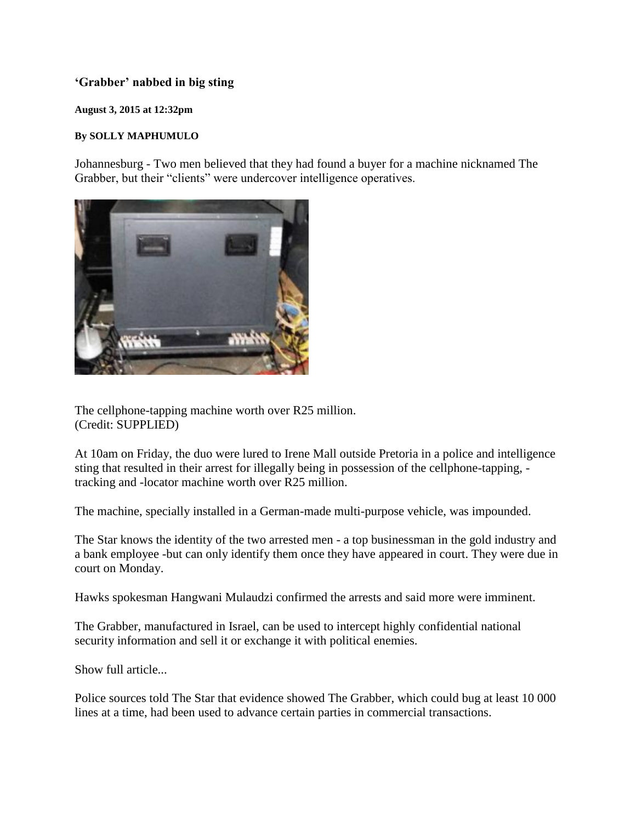## **'Grabber' nabbed in big sting**

## **August 3, 2015 at 12:32pm**

## **By SOLLY MAPHUMULO**

Johannesburg - Two men believed that they had found a buyer for a machine nicknamed The Grabber, but their "clients" were undercover intelligence operatives.



The cellphone-tapping machine worth over R25 million. (Credit: SUPPLIED)

At 10am on Friday, the duo were lured to Irene Mall outside Pretoria in a police and intelligence sting that resulted in their arrest for illegally being in possession of the cellphone-tapping, tracking and -locator machine worth over R25 million.

The machine, specially installed in a German-made multi-purpose vehicle, was impounded.

The Star knows the identity of the two arrested men - a top businessman in the gold industry and a bank employee -but can only identify them once they have appeared in court. They were due in court on Monday.

Hawks spokesman Hangwani Mulaudzi confirmed the arrests and said more were imminent.

The Grabber, manufactured in Israel, can be used to intercept highly confidential national security information and sell it or exchange it with political enemies.

Show full article...

Police sources told The Star that evidence showed The Grabber, which could bug at least 10 000 lines at a time, had been used to advance certain parties in commercial transactions.